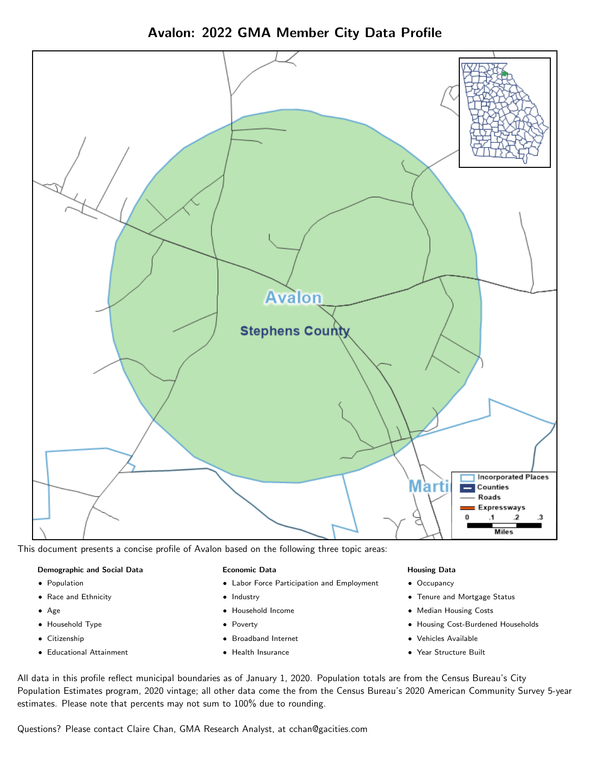Avalon: 2022 GMA Member City Data Profile



This document presents a concise profile of Avalon based on the following three topic areas:

## Demographic and Social Data

- **•** Population
- Race and Ethnicity
- Age
- Household Type
- **Citizenship**
- Educational Attainment

## Economic Data

- Labor Force Participation and Employment
- Industry
- Household Income
- Poverty
- Broadband Internet
- Health Insurance

## Housing Data

- Occupancy
- Tenure and Mortgage Status
- Median Housing Costs
- Housing Cost-Burdened Households
- Vehicles Available
- Year Structure Built

All data in this profile reflect municipal boundaries as of January 1, 2020. Population totals are from the Census Bureau's City Population Estimates program, 2020 vintage; all other data come the from the Census Bureau's 2020 American Community Survey 5-year estimates. Please note that percents may not sum to 100% due to rounding.

Questions? Please contact Claire Chan, GMA Research Analyst, at [cchan@gacities.com.](mailto:cchan@gacities.com)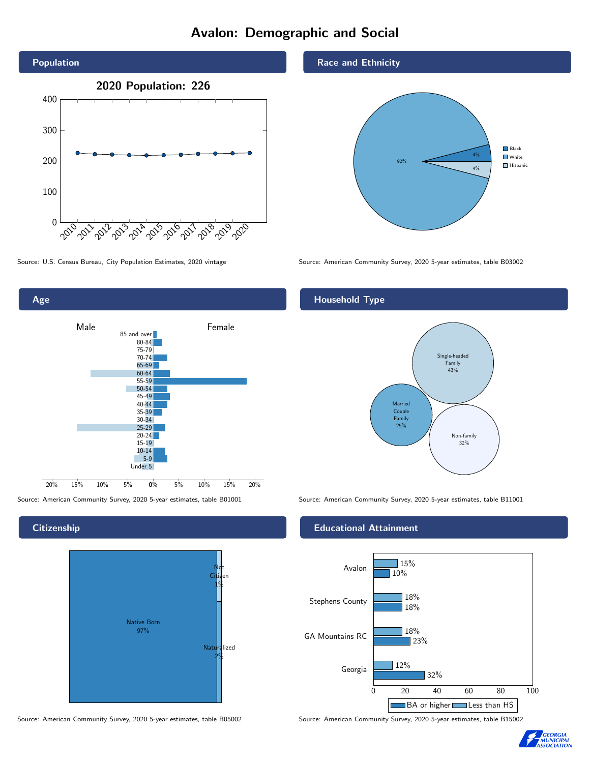# Avalon: Demographic and Social





## **Citizenship**

Age



#### Source: American Community Survey, 2020 5-year estimates, table B05002 Source: American Community Survey, 2020 5-year estimates, table B15002

Race and Ethnicity



Source: U.S. Census Bureau, City Population Estimates, 2020 vintage Source: American Community Survey, 2020 5-year estimates, table B03002

## Household Type



Source: American Community Survey, 2020 5-year estimates, table B01001 Source: American Community Survey, 2020 5-year estimates, table B11001

## Educational Attainment



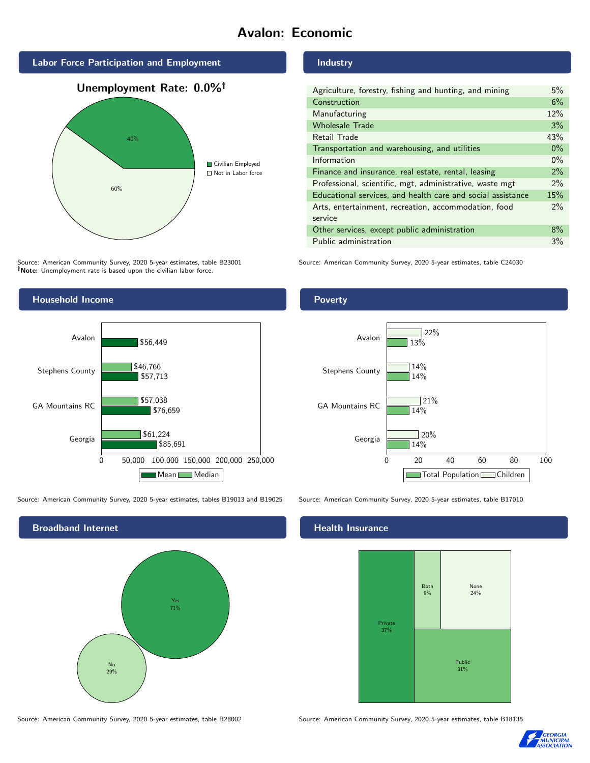# Avalon: Economic



Source: American Community Survey, 2020 5-year estimates, table B23001 Note: Unemployment rate is based upon the civilian labor force.



Source: American Community Survey, 2020 5-year estimates, tables B19013 and B19025 Source: American Community Survey, 2020 5-year estimates, table B17010



Industry

| Agriculture, forestry, fishing and hunting, and mining      | 5%    |
|-------------------------------------------------------------|-------|
| Construction                                                | 6%    |
| Manufacturing                                               | 12%   |
| <b>Wholesale Trade</b>                                      | 3%    |
| Retail Trade                                                | 43%   |
| Transportation and warehousing, and utilities               | $0\%$ |
| Information                                                 | $0\%$ |
| Finance and insurance, real estate, rental, leasing         | 2%    |
| Professional, scientific, mgt, administrative, waste mgt    | $2\%$ |
| Educational services, and health care and social assistance | 15%   |
| Arts, entertainment, recreation, accommodation, food        | $2\%$ |
| service                                                     |       |
| Other services, except public administration                | $8\%$ |
| Public administration                                       | 3%    |

Source: American Community Survey, 2020 5-year estimates, table C24030

## Poverty



## **Health Insurance**



Source: American Community Survey, 2020 5-year estimates, table B28002 Source: American Community Survey, 2020 5-year estimates, table B18135